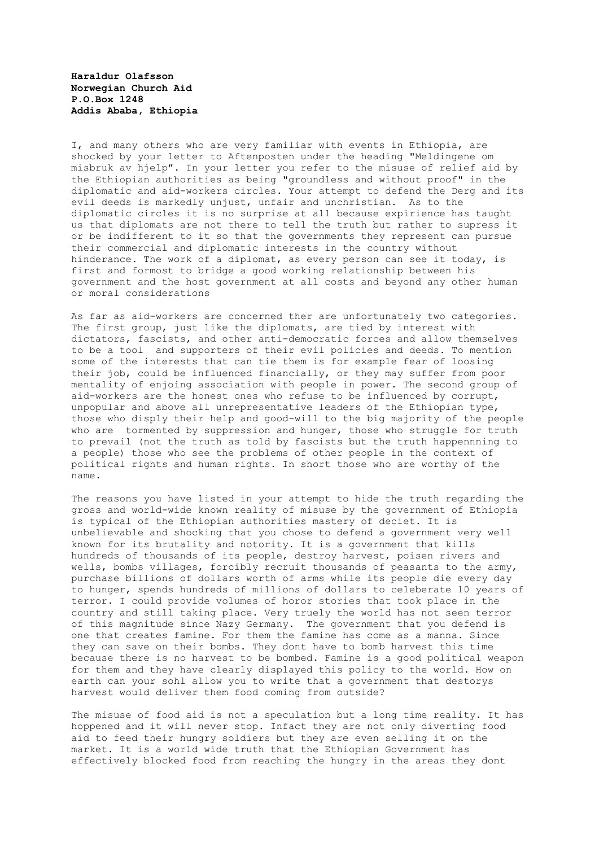**Haraldur Olafsson Norwegian Church Aid P.O.Box 1248 Addis Ababa, Ethiopia**

I, and many others who are very familiar with events in Ethiopia, are shocked by your letter to Aftenposten under the heading "Meldingene om misbruk av hjelp". In your letter you refer to the misuse of relief aid by the Ethiopian authorities as being "groundless and without proof" in the diplomatic and aid-workers circles. Your attempt to defend the Derg and its evil deeds is markedly unjust, unfair and unchristian. As to the diplomatic circles it is no surprise at all because expirience has taught us that diplomats are not there to tell the truth but rather to supress it or be indifferent to it so that the governments they represent can pursue their commercial and diplomatic interests in the country without hinderance. The work of a diplomat, as every person can see it today, is first and formost to bridge a good working relationship between his government and the host government at all costs and beyond any other human or moral considerations

As far as aid-workers are concerned ther are unfortunately two categories. The first group, just like the diplomats, are tied by interest with dictators, fascists, and other anti-democratic forces and allow themselves to be a tool and supporters of their evil policies and deeds. To mention some of the interests that can tie them is for example fear of loosing their job, could be influenced financially, or they may suffer from poor mentality of enjoing association with people in power. The second group of aid-workers are the honest ones who refuse to be influenced by corrupt, unpopular and above all unrepresentative leaders of the Ethiopian type, those who disply their help and good-will to the big majority of the people who are tormented by suppression and hunger, those who struggle for truth to prevail (not the truth as told by fascists but the truth happennning to a people) those who see the problems of other people in the context of political rights and human rights. In short those who are worthy of the name.

The reasons you have listed in your attempt to hide the truth regarding the gross and world-wide known reality of misuse by the government of Ethiopia is typical of the Ethiopian authorities mastery of deciet. It is unbelievable and shocking that you chose to defend a government very well known for its brutality and notority. It is a government that kills hundreds of thousands of its people, destroy harvest, poisen rivers and wells, bombs villages, forcibly recruit thousands of peasants to the army, purchase billions of dollars worth of arms while its people die every day to hunger, spends hundreds of millions of dollars to celeberate 10 years of terror. I could provide volumes of horor stories that took place in the country and still taking place. Very truely the world has not seen terror of this magnitude since Nazy Germany. The government that you defend is one that creates famine. For them the famine has come as a manna. Since they can save on their bombs. They dont have to bomb harvest this time because there is no harvest to be bombed. Famine is a good political weapon for them and they have clearly displayed this policy to the world. How on earth can your sohl allow you to write that a government that destorys harvest would deliver them food coming from outside?

The misuse of food aid is not a speculation but a long time reality. It has hoppened and it will never stop. Infact they are not only diverting food aid to feed their hungry soldiers but they are even selling it on the market. It is a world wide truth that the Ethiopian Government has effectively blocked food from reaching the hungry in the areas they dont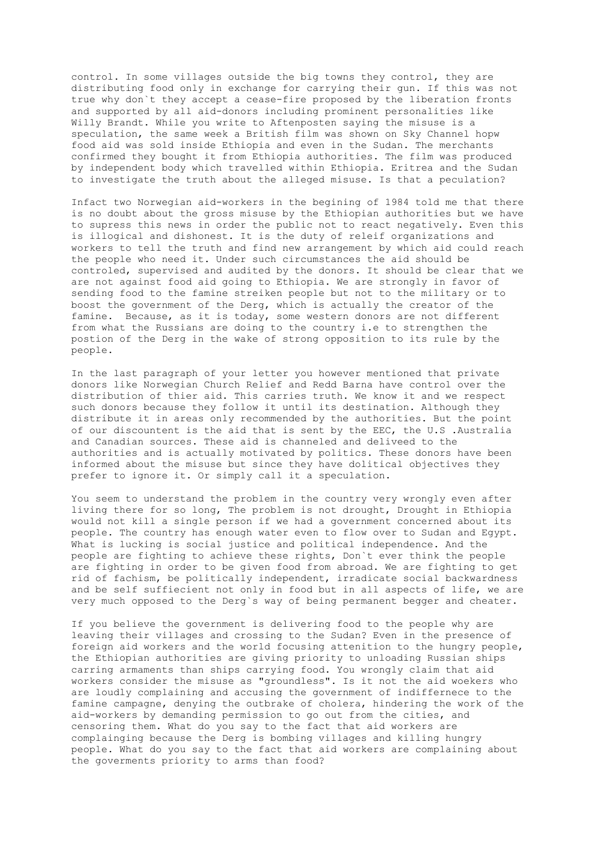control. In some villages outside the big towns they control, they are distributing food only in exchange for carrying their gun. If this was not true why don`t they accept a cease-fire proposed by the liberation fronts and supported by all aid-donors including prominent personalities like Willy Brandt. While you write to Aftenposten saying the misuse is a speculation, the same week a British film was shown on Sky Channel hopw food aid was sold inside Ethiopia and even in the Sudan. The merchants confirmed they bought it from Ethiopia authorities. The film was produced by independent body which travelled within Ethiopia. Eritrea and the Sudan to investigate the truth about the alleged misuse. Is that a peculation?

Infact two Norwegian aid-workers in the begining of 1984 told me that there is no doubt about the gross misuse by the Ethiopian authorities but we have to supress this news in order the public not to react negatively. Even this is illogical and dishonest. It is the duty of releif organizations and workers to tell the truth and find new arrangement by which aid could reach the people who need it. Under such circumstances the aid should be controled, supervised and audited by the donors. It should be clear that we are not against food aid going to Ethiopia. We are strongly in favor of sending food to the famine streiken people but not to the military or to boost the government of the Derg, which is actually the creator of the famine. Because, as it is today, some western donors are not different from what the Russians are doing to the country i.e to strengthen the postion of the Derg in the wake of strong opposition to its rule by the people.

In the last paragraph of your letter you however mentioned that private donors like Norwegian Church Relief and Redd Barna have control over the distribution of thier aid. This carries truth. We know it and we respect such donors because they follow it until its destination. Although they distribute it in areas only recommended by the authorities. But the point of our discountent is the aid that is sent by the EEC, the U.S .Australia and Canadian sources. These aid is channeled and deliveed to the authorities and is actually motivated by politics. These donors have been informed about the misuse but since they have dolitical objectives they prefer to ignore it. Or simply call it a speculation.

You seem to understand the problem in the country very wrongly even after living there for so long, The problem is not drought, Drought in Ethiopia would not kill a single person if we had a government concerned about its people. The country has enough water even to flow over to Sudan and Egypt. What is lucking is social justice and political independence. And the people are fighting to achieve these rights, Don`t ever think the people are fighting in order to be given food from abroad. We are fighting to get rid of fachism, be politically independent, irradicate social backwardness and be self suffiecient not only in food but in all aspects of life, we are very much opposed to the Derg`s way of being permanent begger and cheater.

If you believe the government is delivering food to the people why are leaving their villages and crossing to the Sudan? Even in the presence of foreign aid workers and the world focusing attenition to the hungry people, the Ethiopian authorities are giving priority to unloading Russian ships carring armaments than ships carrying food. You wrongly claim that aid workers consider the misuse as "groundless". Is it not the aid woekers who are loudly complaining and accusing the government of indiffernece to the famine campagne, denying the outbrake of cholera, hindering the work of the aid-workers by demanding permission to go out from the cities, and censoring them. What do you say to the fact that aid workers are complainging because the Derg is bombing villages and killing hungry people. What do you say to the fact that aid workers are complaining about the goverments priority to arms than food?